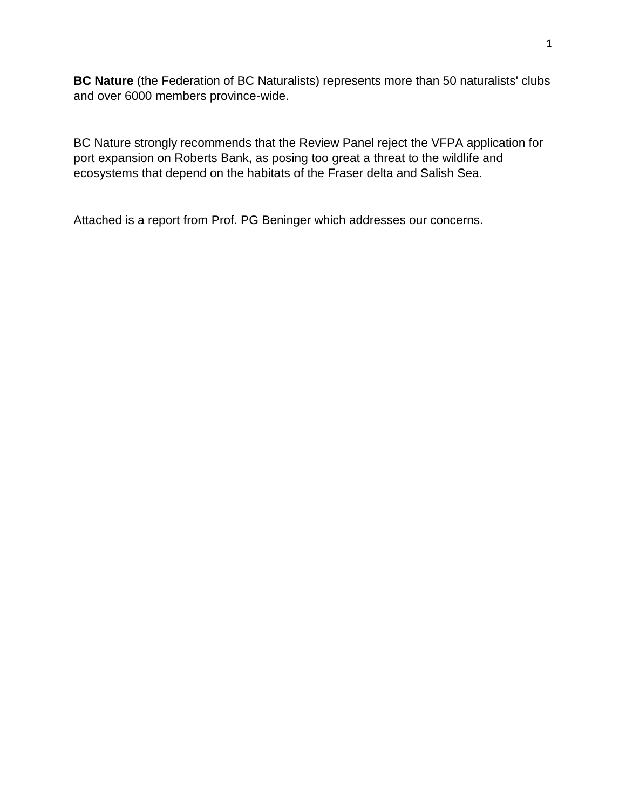**BC Nature** (the Federation of BC Naturalists) represents more than 50 naturalists' clubs and over 6000 members province-wide.

BC Nature strongly recommends that the Review Panel reject the VFPA application for port expansion on Roberts Bank, as posing too great a threat to the wildlife and ecosystems that depend on the habitats of the Fraser delta and Salish Sea.

Attached is a report from Prof. PG Beninger which addresses our concerns.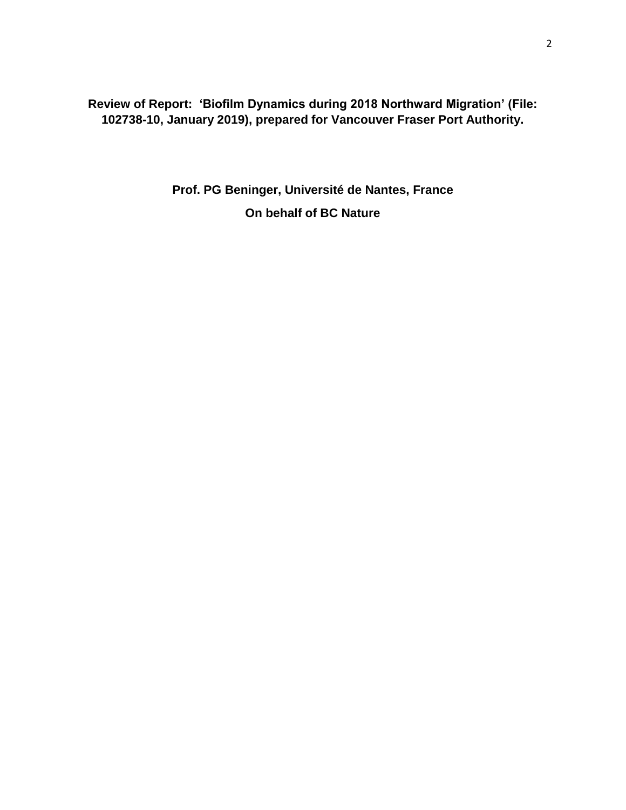**Review of Report: 'Biofilm Dynamics during 2018 Northward Migration' (File: 102738-10, January 2019), prepared for Vancouver Fraser Port Authority.**

> **Prof. PG Beninger, Université de Nantes, France On behalf of BC Nature**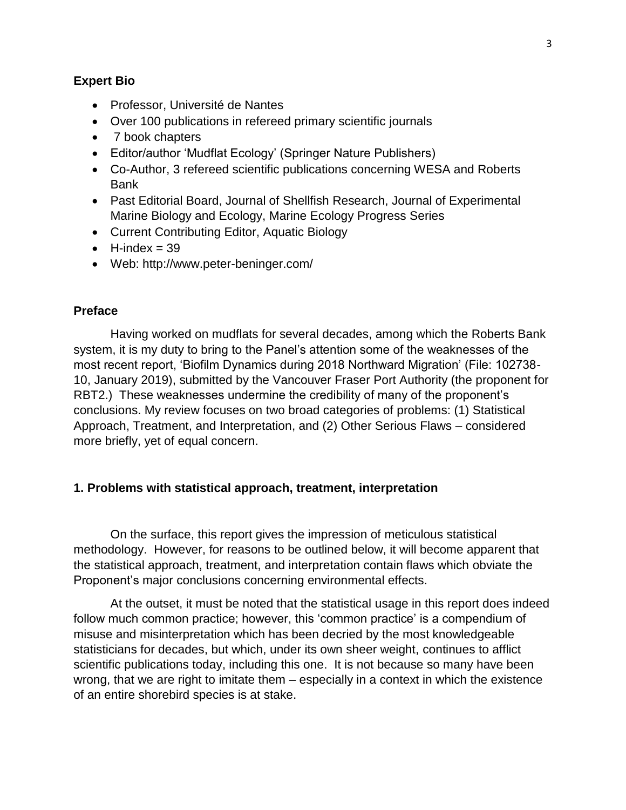### **Expert Bio**

- Professor, Université de Nantes
- Over 100 publications in refereed primary scientific journals
- 7 book chapters
- Editor/author 'Mudflat Ecology' (Springer Nature Publishers)
- Co-Author, 3 refereed scientific publications concerning WESA and Roberts Bank
- Past Editorial Board, Journal of Shellfish Research, Journal of Experimental Marine Biology and Ecology, Marine Ecology Progress Series
- Current Contributing Editor, Aquatic Biology
- $\bullet$  H-index = 39
- Web: http://www.peter-beninger.com/

## **Preface**

Having worked on mudflats for several decades, among which the Roberts Bank system, it is my duty to bring to the Panel's attention some of the weaknesses of the most recent report, 'Biofilm Dynamics during 2018 Northward Migration' (File: 102738- 10, January 2019), submitted by the Vancouver Fraser Port Authority (the proponent for RBT2.) These weaknesses undermine the credibility of many of the proponent's conclusions. My review focuses on two broad categories of problems: (1) Statistical Approach, Treatment, and Interpretation, and (2) Other Serious Flaws – considered more briefly, yet of equal concern.

### **1. Problems with statistical approach, treatment, interpretation**

On the surface, this report gives the impression of meticulous statistical methodology. However, for reasons to be outlined below, it will become apparent that the statistical approach, treatment, and interpretation contain flaws which obviate the Proponent's major conclusions concerning environmental effects.

At the outset, it must be noted that the statistical usage in this report does indeed follow much common practice; however, this 'common practice' is a compendium of misuse and misinterpretation which has been decried by the most knowledgeable statisticians for decades, but which, under its own sheer weight, continues to afflict scientific publications today, including this one. It is not because so many have been wrong, that we are right to imitate them – especially in a context in which the existence of an entire shorebird species is at stake.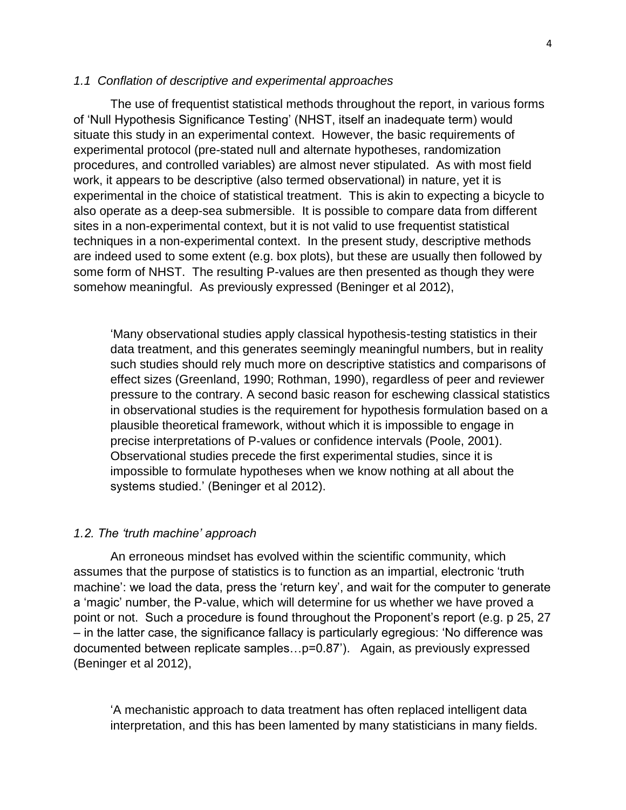The use of frequentist statistical methods throughout the report, in various forms of 'Null Hypothesis Significance Testing' (NHST, itself an inadequate term) would situate this study in an experimental context. However, the basic requirements of experimental protocol (pre-stated null and alternate hypotheses, randomization procedures, and controlled variables) are almost never stipulated. As with most field work, it appears to be descriptive (also termed observational) in nature, yet it is experimental in the choice of statistical treatment. This is akin to expecting a bicycle to also operate as a deep-sea submersible. It is possible to compare data from different sites in a non-experimental context, but it is not valid to use frequentist statistical techniques in a non-experimental context. In the present study, descriptive methods are indeed used to some extent (e.g. box plots), but these are usually then followed by some form of NHST. The resulting P-values are then presented as though they were somehow meaningful. As previously expressed (Beninger et al 2012),

'Many observational studies apply classical hypothesis-testing statistics in their data treatment, and this generates seemingly meaningful numbers, but in reality such studies should rely much more on descriptive statistics and comparisons of effect sizes (Greenland, 1990; Rothman, 1990), regardless of peer and reviewer pressure to the contrary. A second basic reason for eschewing classical statistics in observational studies is the requirement for hypothesis formulation based on a plausible theoretical framework, without which it is impossible to engage in precise interpretations of P‐values or confidence intervals (Poole, 2001). Observational studies precede the first experimental studies, since it is impossible to formulate hypotheses when we know nothing at all about the systems studied.' (Beninger et al 2012).

#### *1.2. The 'truth machine' approach*

An erroneous mindset has evolved within the scientific community, which assumes that the purpose of statistics is to function as an impartial, electronic 'truth machine': we load the data, press the 'return key', and wait for the computer to generate a 'magic' number, the P-value, which will determine for us whether we have proved a point or not. Such a procedure is found throughout the Proponent's report (e.g. p 25, 27 – in the latter case, the significance fallacy is particularly egregious: 'No difference was documented between replicate samples…p=0.87'). Again, as previously expressed (Beninger et al 2012),

'A mechanistic approach to data treatment has often replaced intelligent data interpretation, and this has been lamented by many statisticians in many fields.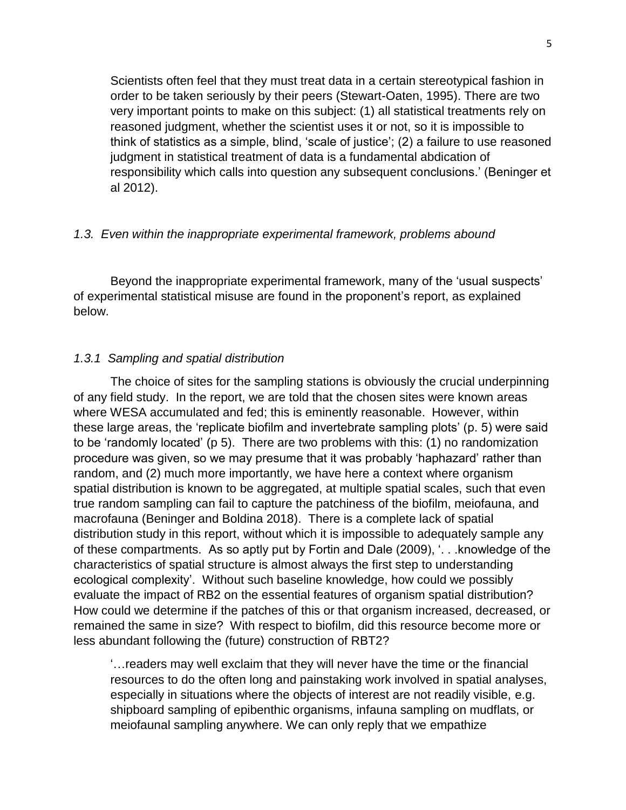Scientists often feel that they must treat data in a certain stereotypical fashion in order to be taken seriously by their peers (Stewart-Oaten, 1995). There are two very important points to make on this subject: (1) all statistical treatments rely on reasoned judgment, whether the scientist uses it or not, so it is impossible to think of statistics as a simple, blind, 'scale of justice'; (2) a failure to use reasoned judgment in statistical treatment of data is a fundamental abdication of responsibility which calls into question any subsequent conclusions.' (Beninger et al 2012).

## *1.3. Even within the inappropriate experimental framework, problems abound*

Beyond the inappropriate experimental framework, many of the 'usual suspects' of experimental statistical misuse are found in the proponent's report, as explained below.

## *1.3.1 Sampling and spatial distribution*

The choice of sites for the sampling stations is obviously the crucial underpinning of any field study. In the report, we are told that the chosen sites were known areas where WESA accumulated and fed; this is eminently reasonable. However, within these large areas, the 'replicate biofilm and invertebrate sampling plots' (p. 5) were said to be 'randomly located' (p 5). There are two problems with this: (1) no randomization procedure was given, so we may presume that it was probably 'haphazard' rather than random, and (2) much more importantly, we have here a context where organism spatial distribution is known to be aggregated, at multiple spatial scales, such that even true random sampling can fail to capture the patchiness of the biofilm, meiofauna, and macrofauna (Beninger and Boldina 2018). There is a complete lack of spatial distribution study in this report, without which it is impossible to adequately sample any of these compartments. As so aptly put by Fortin and Dale (2009), '. . .knowledge of the characteristics of spatial structure is almost always the first step to understanding ecological complexity'. Without such baseline knowledge, how could we possibly evaluate the impact of RB2 on the essential features of organism spatial distribution? How could we determine if the patches of this or that organism increased, decreased, or remained the same in size? With respect to biofilm, did this resource become more or less abundant following the (future) construction of RBT2?

'…readers may well exclaim that they will never have the time or the financial resources to do the often long and painstaking work involved in spatial analyses, especially in situations where the objects of interest are not readily visible, e.g. shipboard sampling of epibenthic organisms, infauna sampling on mudflats, or meiofaunal sampling anywhere. We can only reply that we empathize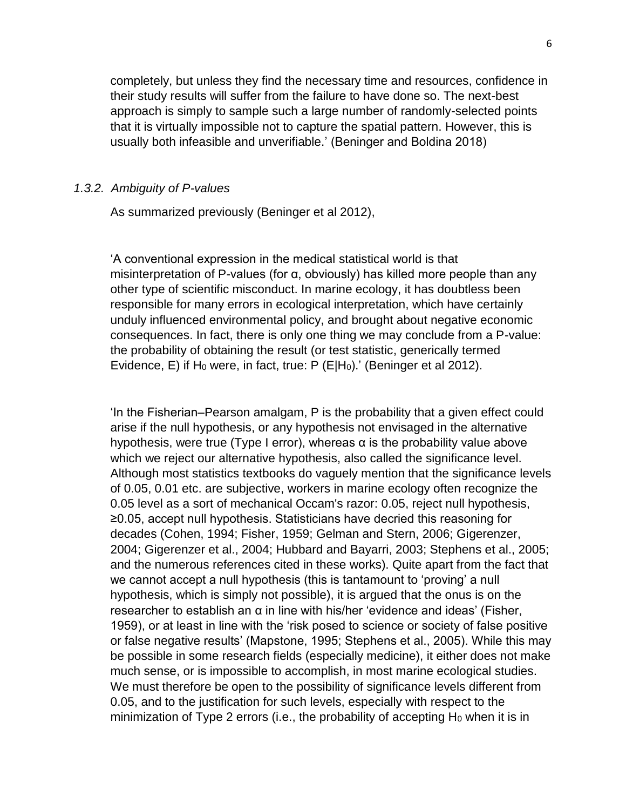completely, but unless they find the necessary time and resources, confidence in their study results will suffer from the failure to have done so. The next-best approach is simply to sample such a large number of randomly-selected points that it is virtually impossible not to capture the spatial pattern. However, this is usually both infeasible and unverifiable.' (Beninger and Boldina 2018)

#### *1.3.2. Ambiguity of P-values*

As summarized previously (Beninger et al 2012),

'A conventional expression in the medical statistical world is that misinterpretation of P-values (for α, obviously) has killed more people than any other type of scientific misconduct. In marine ecology, it has doubtless been responsible for many errors in ecological interpretation, which have certainly unduly influenced environmental policy, and brought about negative economic consequences. In fact, there is only one thing we may conclude from a P-value: the probability of obtaining the result (or test statistic, generically termed Evidence, E) if H<sub>0</sub> were, in fact, true: P (E|H<sub>0</sub>).' (Beninger et al 2012).

'In the Fisherian–Pearson amalgam, P is the probability that a given effect could arise if the null hypothesis, or any hypothesis not envisaged in the alternative hypothesis, were true (Type I error), whereas  $\alpha$  is the probability value above which we reject our alternative hypothesis, also called the significance level. Although most statistics textbooks do vaguely mention that the significance levels of 0.05, 0.01 etc. are subjective, workers in marine ecology often recognize the 0.05 level as a sort of mechanical Occam's razor: 0.05, reject null hypothesis, ≥0.05, accept null hypothesis. Statisticians have decried this reasoning for decades (Cohen, 1994; Fisher, 1959; Gelman and Stern, 2006; Gigerenzer, 2004; Gigerenzer et al., 2004; Hubbard and Bayarri, 2003; Stephens et al., 2005; and the numerous references cited in these works). Quite apart from the fact that we cannot accept a null hypothesis (this is tantamount to 'proving' a null hypothesis, which is simply not possible), it is argued that the onus is on the researcher to establish an α in line with his/her 'evidence and ideas' (Fisher, 1959), or at least in line with the 'risk posed to science or society of false positive or false negative results' (Mapstone, 1995; Stephens et al., 2005). While this may be possible in some research fields (especially medicine), it either does not make much sense, or is impossible to accomplish, in most marine ecological studies. We must therefore be open to the possibility of significance levels different from 0.05, and to the justification for such levels, especially with respect to the minimization of Type 2 errors (i.e., the probability of accepting  $H_0$  when it is in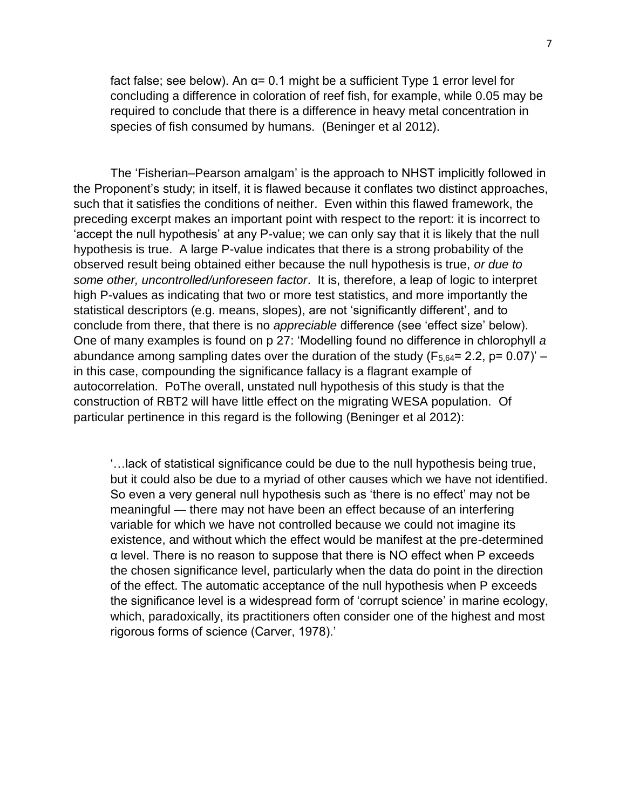fact false; see below). An α= 0.1 might be a sufficient Type 1 error level for concluding a difference in coloration of reef fish, for example, while 0.05 may be required to conclude that there is a difference in heavy metal concentration in species of fish consumed by humans. (Beninger et al 2012).

The 'Fisherian–Pearson amalgam' is the approach to NHST implicitly followed in the Proponent's study; in itself, it is flawed because it conflates two distinct approaches, such that it satisfies the conditions of neither. Even within this flawed framework, the preceding excerpt makes an important point with respect to the report: it is incorrect to 'accept the null hypothesis' at any P-value; we can only say that it is likely that the null hypothesis is true. A large P-value indicates that there is a strong probability of the observed result being obtained either because the null hypothesis is true, *or due to some other, uncontrolled/unforeseen factor*. It is, therefore, a leap of logic to interpret high P-values as indicating that two or more test statistics, and more importantly the statistical descriptors (e.g. means, slopes), are not 'significantly different', and to conclude from there, that there is no *appreciable* difference (see 'effect size' below). One of many examples is found on p 27: 'Modelling found no difference in chlorophyll *a* abundance among sampling dates over the duration of the study ( $F_{5,64}$ = 2.2, p= 0.07)' – in this case, compounding the significance fallacy is a flagrant example of autocorrelation. PoThe overall, unstated null hypothesis of this study is that the construction of RBT2 will have little effect on the migrating WESA population. Of particular pertinence in this regard is the following (Beninger et al 2012):

'…lack of statistical significance could be due to the null hypothesis being true, but it could also be due to a myriad of other causes which we have not identified. So even a very general null hypothesis such as 'there is no effect' may not be meaningful — there may not have been an effect because of an interfering variable for which we have not controlled because we could not imagine its existence, and without which the effect would be manifest at the pre-determined α level. There is no reason to suppose that there is NO effect when P exceeds the chosen significance level, particularly when the data do point in the direction of the effect. The automatic acceptance of the null hypothesis when P exceeds the significance level is a widespread form of 'corrupt science' in marine ecology, which, paradoxically, its practitioners often consider one of the highest and most rigorous forms of science (Carver, 1978).'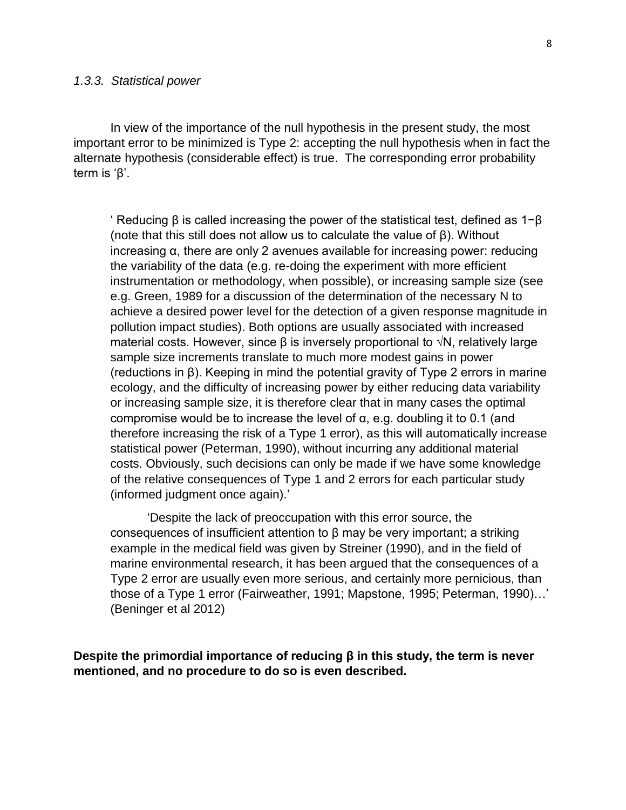In view of the importance of the null hypothesis in the present study, the most important error to be minimized is Type 2: accepting the null hypothesis when in fact the alternate hypothesis (considerable effect) is true. The corresponding error probability term is 'β'.

' Reducing β is called increasing the power of the statistical test, defined as 1−β (note that this still does not allow us to calculate the value of β). Without increasing α, there are only 2 avenues available for increasing power: reducing the variability of the data (e.g. re-doing the experiment with more efficient instrumentation or methodology, when possible), or increasing sample size (see e.g. Green, 1989 for a discussion of the determination of the necessary N to achieve a desired power level for the detection of a given response magnitude in pollution impact studies). Both options are usually associated with increased material costs. However, since β is inversely proportional to  $\sqrt{N}$ , relatively large sample size increments translate to much more modest gains in power (reductions in β). Keeping in mind the potential gravity of Type 2 errors in marine ecology, and the difficulty of increasing power by either reducing data variability or increasing sample size, it is therefore clear that in many cases the optimal compromise would be to increase the level of α, e.g. doubling it to 0.1 (and therefore increasing the risk of a Type 1 error), as this will automatically increase statistical power (Peterman, 1990), without incurring any additional material costs. Obviously, such decisions can only be made if we have some knowledge of the relative consequences of Type 1 and 2 errors for each particular study (informed judgment once again).'

'Despite the lack of preoccupation with this error source, the consequences of insufficient attention to β may be very important; a striking example in the medical field was given by Streiner (1990), and in the field of marine environmental research, it has been argued that the consequences of a Type 2 error are usually even more serious, and certainly more pernicious, than those of a Type 1 error (Fairweather, 1991; Mapstone, 1995; Peterman, 1990)…' (Beninger et al 2012)

**Despite the primordial importance of reducing β in this study, the term is never mentioned, and no procedure to do so is even described.**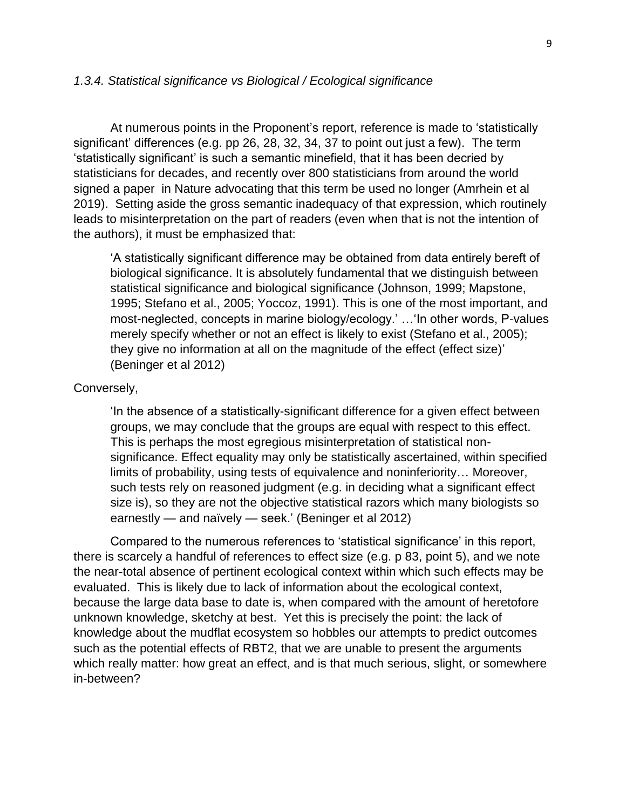### *1.3.4. Statistical significance vs Biological / Ecological significance*

At numerous points in the Proponent's report, reference is made to 'statistically significant' differences (e.g. pp 26, 28, 32, 34, 37 to point out just a few). The term 'statistically significant' is such a semantic minefield, that it has been decried by statisticians for decades, and recently over 800 statisticians from around the world signed a paper in Nature advocating that this term be used no longer (Amrhein et al 2019). Setting aside the gross semantic inadequacy of that expression, which routinely leads to misinterpretation on the part of readers (even when that is not the intention of the authors), it must be emphasized that:

'A statistically significant difference may be obtained from data entirely bereft of biological significance. It is absolutely fundamental that we distinguish between statistical significance and biological significance (Johnson, 1999; Mapstone, 1995; Stefano et al., 2005; Yoccoz, 1991). This is one of the most important, and most-neglected, concepts in marine biology/ecology.' …'In other words, P‐values merely specify whether or not an effect is likely to exist (Stefano et al., 2005); they give no information at all on the magnitude of the effect (effect size)' (Beninger et al 2012)

### Conversely,

'In the absence of a statistically-significant difference for a given effect between groups, we may conclude that the groups are equal with respect to this effect. This is perhaps the most egregious misinterpretation of statistical nonsignificance. Effect equality may only be statistically ascertained, within specified limits of probability, using tests of equivalence and noninferiority… Moreover, such tests rely on reasoned judgment (e.g. in deciding what a significant effect size is), so they are not the objective statistical razors which many biologists so earnestly — and naïvely — seek.' (Beninger et al 2012)

Compared to the numerous references to 'statistical significance' in this report, there is scarcely a handful of references to effect size (e.g. p 83, point 5), and we note the near-total absence of pertinent ecological context within which such effects may be evaluated. This is likely due to lack of information about the ecological context, because the large data base to date is, when compared with the amount of heretofore unknown knowledge, sketchy at best. Yet this is precisely the point: the lack of knowledge about the mudflat ecosystem so hobbles our attempts to predict outcomes such as the potential effects of RBT2, that we are unable to present the arguments which really matter: how great an effect, and is that much serious, slight, or somewhere in-between?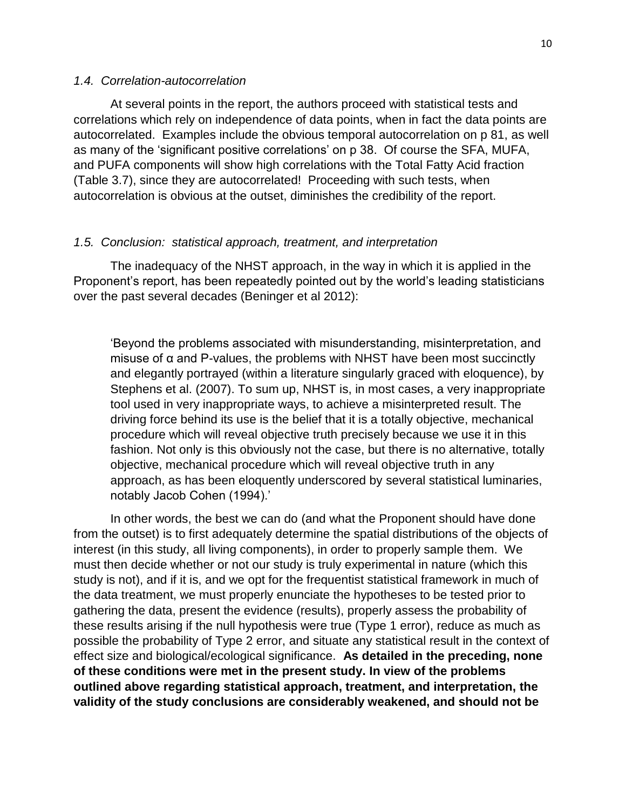## *1.4. Correlation-autocorrelation*

At several points in the report, the authors proceed with statistical tests and correlations which rely on independence of data points, when in fact the data points are autocorrelated. Examples include the obvious temporal autocorrelation on p 81, as well as many of the 'significant positive correlations' on p 38. Of course the SFA, MUFA, and PUFA components will show high correlations with the Total Fatty Acid fraction (Table 3.7), since they are autocorrelated! Proceeding with such tests, when autocorrelation is obvious at the outset, diminishes the credibility of the report.

### *1.5. Conclusion: statistical approach, treatment, and interpretation*

The inadequacy of the NHST approach, in the way in which it is applied in the Proponent's report, has been repeatedly pointed out by the world's leading statisticians over the past several decades (Beninger et al 2012):

'Beyond the problems associated with misunderstanding, misinterpretation, and misuse of  $\alpha$  and P-values, the problems with NHST have been most succinctly and elegantly portrayed (within a literature singularly graced with eloquence), by Stephens et al. (2007). To sum up, NHST is, in most cases, a very inappropriate tool used in very inappropriate ways, to achieve a misinterpreted result. The driving force behind its use is the belief that it is a totally objective, mechanical procedure which will reveal objective truth precisely because we use it in this fashion. Not only is this obviously not the case, but there is no alternative, totally objective, mechanical procedure which will reveal objective truth in any approach, as has been eloquently underscored by several statistical luminaries, notably Jacob Cohen (1994).'

In other words, the best we can do (and what the Proponent should have done from the outset) is to first adequately determine the spatial distributions of the objects of interest (in this study, all living components), in order to properly sample them. We must then decide whether or not our study is truly experimental in nature (which this study is not), and if it is, and we opt for the frequentist statistical framework in much of the data treatment, we must properly enunciate the hypotheses to be tested prior to gathering the data, present the evidence (results), properly assess the probability of these results arising if the null hypothesis were true (Type 1 error), reduce as much as possible the probability of Type 2 error, and situate any statistical result in the context of effect size and biological/ecological significance. **As detailed in the preceding, none of these conditions were met in the present study. In view of the problems outlined above regarding statistical approach, treatment, and interpretation, the validity of the study conclusions are considerably weakened, and should not be**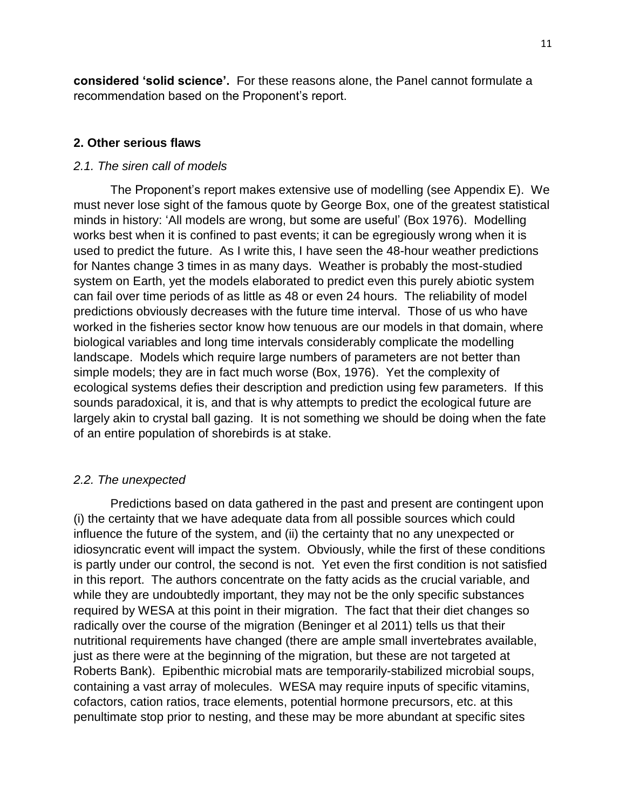**considered 'solid science'.** For these reasons alone, the Panel cannot formulate a recommendation based on the Proponent's report.

# **2. Other serious flaws**

## *2.1. The siren call of models*

The Proponent's report makes extensive use of modelling (see Appendix E). We must never lose sight of the famous quote by George Box, one of the greatest statistical minds in history: 'All models are wrong, but some are useful' (Box 1976). Modelling works best when it is confined to past events; it can be egregiously wrong when it is used to predict the future. As I write this, I have seen the 48-hour weather predictions for Nantes change 3 times in as many days. Weather is probably the most-studied system on Earth, yet the models elaborated to predict even this purely abiotic system can fail over time periods of as little as 48 or even 24 hours. The reliability of model predictions obviously decreases with the future time interval. Those of us who have worked in the fisheries sector know how tenuous are our models in that domain, where biological variables and long time intervals considerably complicate the modelling landscape. Models which require large numbers of parameters are not better than simple models; they are in fact much worse (Box, 1976). Yet the complexity of ecological systems defies their description and prediction using few parameters. If this sounds paradoxical, it is, and that is why attempts to predict the ecological future are largely akin to crystal ball gazing. It is not something we should be doing when the fate of an entire population of shorebirds is at stake.

# *2.2. The unexpected*

Predictions based on data gathered in the past and present are contingent upon (i) the certainty that we have adequate data from all possible sources which could influence the future of the system, and (ii) the certainty that no any unexpected or idiosyncratic event will impact the system. Obviously, while the first of these conditions is partly under our control, the second is not. Yet even the first condition is not satisfied in this report. The authors concentrate on the fatty acids as the crucial variable, and while they are undoubtedly important, they may not be the only specific substances required by WESA at this point in their migration. The fact that their diet changes so radically over the course of the migration (Beninger et al 2011) tells us that their nutritional requirements have changed (there are ample small invertebrates available, just as there were at the beginning of the migration, but these are not targeted at Roberts Bank). Epibenthic microbial mats are temporarily-stabilized microbial soups, containing a vast array of molecules. WESA may require inputs of specific vitamins, cofactors, cation ratios, trace elements, potential hormone precursors, etc. at this penultimate stop prior to nesting, and these may be more abundant at specific sites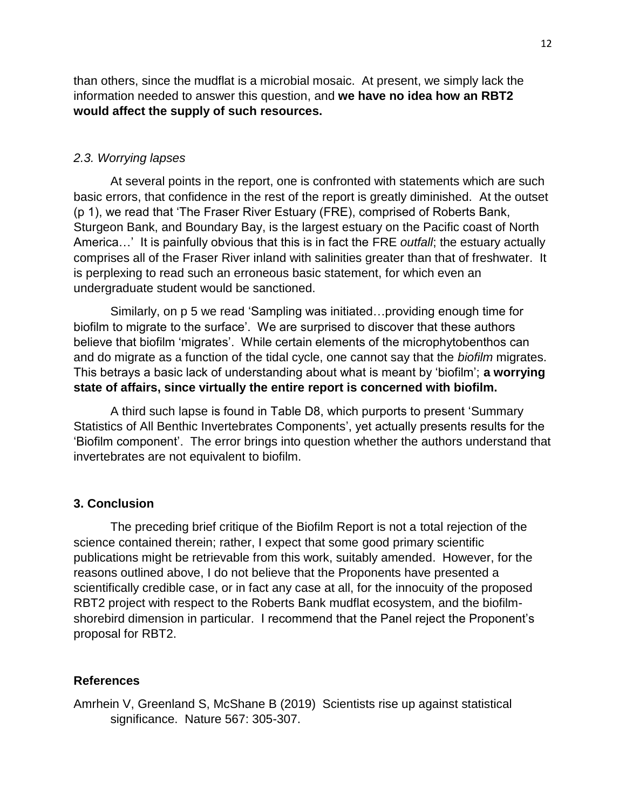than others, since the mudflat is a microbial mosaic. At present, we simply lack the information needed to answer this question, and **we have no idea how an RBT2 would affect the supply of such resources.**

## *2.3. Worrying lapses*

At several points in the report, one is confronted with statements which are such basic errors, that confidence in the rest of the report is greatly diminished. At the outset (p 1), we read that 'The Fraser River Estuary (FRE), comprised of Roberts Bank, Sturgeon Bank, and Boundary Bay, is the largest estuary on the Pacific coast of North America…' It is painfully obvious that this is in fact the FRE *outfall*; the estuary actually comprises all of the Fraser River inland with salinities greater than that of freshwater. It is perplexing to read such an erroneous basic statement, for which even an undergraduate student would be sanctioned.

Similarly, on p 5 we read 'Sampling was initiated…providing enough time for biofilm to migrate to the surface'. We are surprised to discover that these authors believe that biofilm 'migrates'. While certain elements of the microphytobenthos can and do migrate as a function of the tidal cycle, one cannot say that the *biofilm* migrates. This betrays a basic lack of understanding about what is meant by 'biofilm'; **a worrying state of affairs, since virtually the entire report is concerned with biofilm.**

A third such lapse is found in Table D8, which purports to present 'Summary Statistics of All Benthic Invertebrates Components', yet actually presents results for the 'Biofilm component'. The error brings into question whether the authors understand that invertebrates are not equivalent to biofilm.

## **3. Conclusion**

The preceding brief critique of the Biofilm Report is not a total rejection of the science contained therein; rather, I expect that some good primary scientific publications might be retrievable from this work, suitably amended. However, for the reasons outlined above, I do not believe that the Proponents have presented a scientifically credible case, or in fact any case at all, for the innocuity of the proposed RBT2 project with respect to the Roberts Bank mudflat ecosystem, and the biofilmshorebird dimension in particular. I recommend that the Panel reject the Proponent's proposal for RBT2.

### **References**

Amrhein V, Greenland S, McShane B (2019) Scientists rise up against statistical significance. Nature 567: 305-307.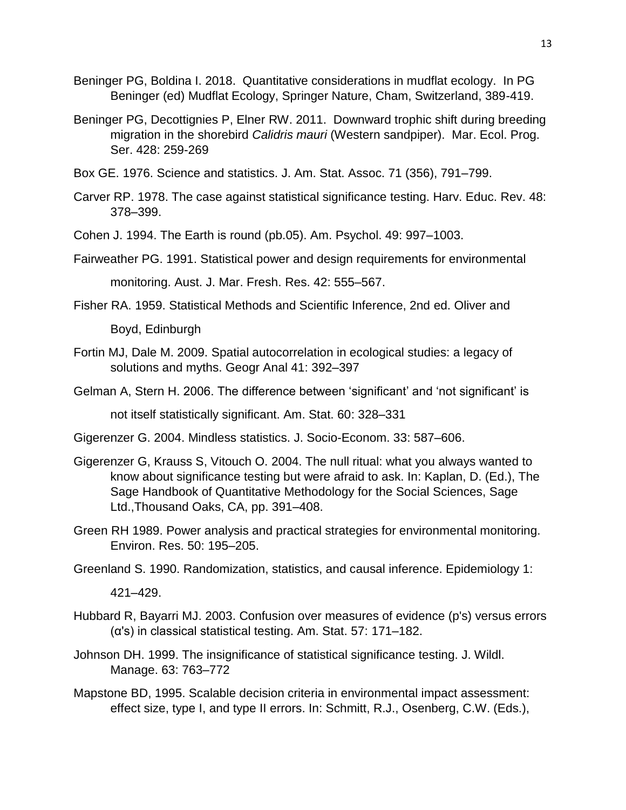- Beninger PG, Boldina I. 2018. Quantitative considerations in mudflat ecology. In PG Beninger (ed) Mudflat Ecology, Springer Nature, Cham, Switzerland, 389-419.
- Beninger PG, Decottignies P, Elner RW. 2011. Downward trophic shift during breeding migration in the shorebird *Calidris mauri* (Western sandpiper). Mar. Ecol. Prog. Ser. 428: 259-269
- Box GE. 1976. Science and statistics. J. Am. Stat. Assoc. 71 (356), 791–799.
- Carver RP. 1978. The case against statistical significance testing. Harv. Educ. Rev. 48: 378–399.
- Cohen J. 1994. The Earth is round (pb.05). Am. Psychol. 49: 997–1003.

Fairweather PG. 1991. Statistical power and design requirements for environmental

monitoring. Aust. J. Mar. Fresh. Res. 42: 555–567.

- Fisher RA. 1959. Statistical Methods and Scientific Inference, 2nd ed. Oliver and Boyd, Edinburgh
- Fortin MJ, Dale M. 2009. Spatial autocorrelation in ecological studies: a legacy of solutions and myths. Geogr Anal 41: 392–397
- Gelman A, Stern H. 2006. The difference between 'significant' and 'not significant' is

not itself statistically significant. Am. Stat. 60: 328–331

- Gigerenzer G. 2004. Mindless statistics. J. Socio-Econom. 33: 587–606.
- Gigerenzer G, Krauss S, Vitouch O. 2004. The null ritual: what you always wanted to know about significance testing but were afraid to ask. In: Kaplan, D. (Ed.), The Sage Handbook of Quantitative Methodology for the Social Sciences, Sage Ltd.,Thousand Oaks, CA, pp. 391–408.
- Green RH 1989. Power analysis and practical strategies for environmental monitoring. Environ. Res. 50: 195–205.

Greenland S. 1990. Randomization, statistics, and causal inference. Epidemiology 1:

421–429.

- Hubbard R, Bayarri MJ. 2003. Confusion over measures of evidence (p's) versus errors  $(\alpha's)$  in classical statistical testing. Am. Stat. 57: 171–182.
- Johnson DH. 1999. The insignificance of statistical significance testing. J. Wildl. Manage. 63: 763–772
- Mapstone BD, 1995. Scalable decision criteria in environmental impact assessment: effect size, type I, and type II errors. In: Schmitt, R.J., Osenberg, C.W. (Eds.),